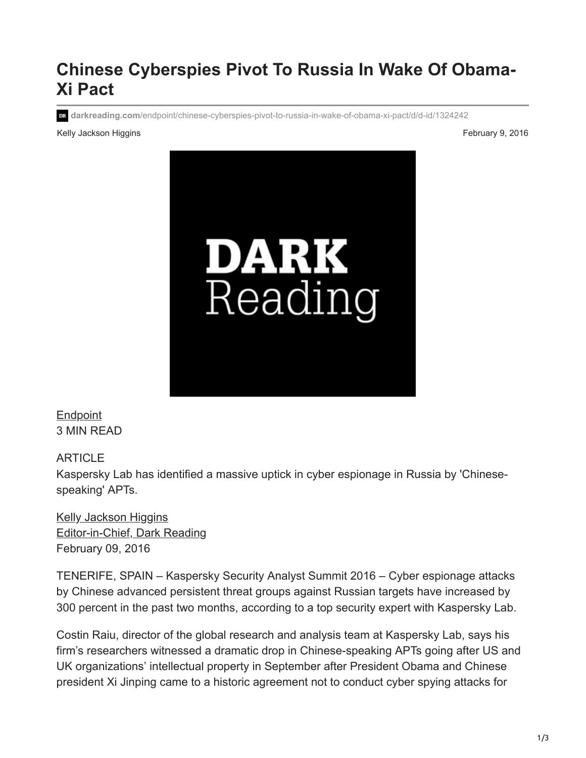## **Chinese Cyberspies Pivot To Russia In Wake Of Obama-Xi Pact**

**darkreading.com**[/endpoint/chinese-cyberspies-pivot-to-russia-in-wake-of-obama-xi-pact/d/d-id/1324242](http://www.darkreading.com/endpoint/chinese-cyberspies-pivot-to-russia-in-wake-of-obama-xi-pact/d/d-id/1324242)

Kelly Jackson Higgins **February 9, 2016** Control of the Security Property of the Security Property of Tebruary 9, 2016



**[Endpoint](https://www.darkreading.com/endpoint)** 3 MIN READ

ARTICLE

Kaspersky Lab has identified a massive uptick in cyber espionage in Russia by 'Chinesespeaking' APTs.

[Kelly Jackson Higgins](http://www.darkreading.com/author/kelly-jackson-higgins-2) [Editor-in-Chief, Dark Reading](http://www.darkreading.com/author/kelly-jackson-higgins-2) February 09, 2016

TENERIFE, SPAIN – Kaspersky Security Analyst Summit 2016 – Cyber espionage attacks by Chinese advanced persistent threat groups against Russian targets have increased by 300 percent in the past two months, according to a top security expert with Kaspersky Lab.

Costin Raiu, director of the global research and analysis team at Kaspersky Lab, says his firm's researchers witnessed a dramatic drop in Chinese-speaking APTs going after US and UK organizations' intellectual property in September after President Obama and Chinese president Xi Jinping came to a historic agreement not to conduct cyber spying attacks for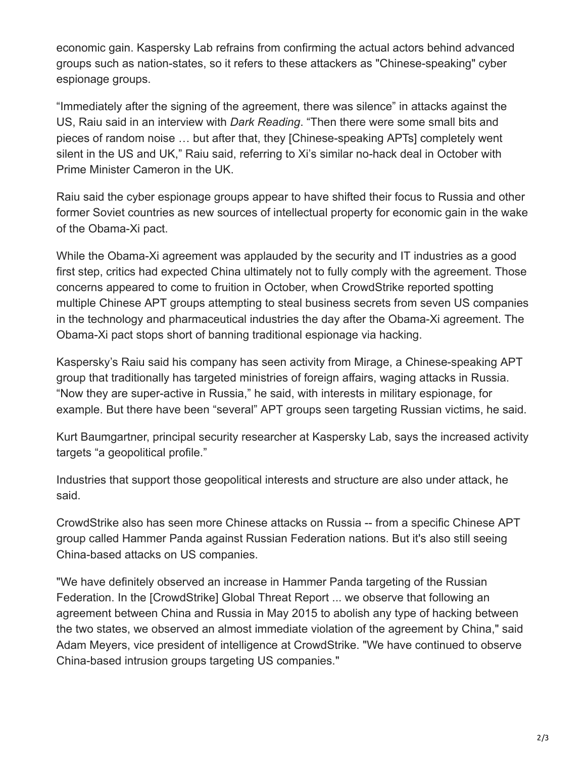economic gain. Kaspersky Lab refrains from confirming the actual actors behind advanced groups such as nation-states, so it refers to these attackers as "Chinese-speaking" cyber espionage groups.

"Immediately after the signing of the agreement, there was silence" in attacks against the US, Raiu said in an interview with *Dark Reading*. "Then there were some small bits and pieces of random noise … but after that, they [Chinese-speaking APTs] completely went silent in the US and UK," Raiu said, referring to Xi's similar no-hack deal in October with Prime Minister Cameron in the UK.

Raiu said the cyber espionage groups appear to have shifted their focus to Russia and other former Soviet countries as new sources of intellectual property for economic gain in the wake of the Obama-Xi pact.

While the Obama-Xi agreement was applauded by the security and IT industries as a good first step, critics had expected China ultimately not to fully comply with the agreement. Those concerns appeared to come to fruition in October, when CrowdStrike reported spotting multiple Chinese APT groups attempting to steal business secrets from seven US companies in the technology and pharmaceutical industries the day after the Obama-Xi agreement. The Obama-Xi pact stops short of banning traditional espionage via hacking.

Kaspersky's Raiu said his company has seen activity from Mirage, a Chinese-speaking APT group that traditionally has targeted ministries of foreign affairs, waging attacks in Russia. "Now they are super-active in Russia," he said, with interests in military espionage, for example. But there have been "several" APT groups seen targeting Russian victims, he said.

Kurt Baumgartner, principal security researcher at Kaspersky Lab, says the increased activity targets "a geopolitical profile."

Industries that support those geopolitical interests and structure are also under attack, he said.

CrowdStrike also has seen more Chinese attacks on Russia -- from a specific Chinese APT group called Hammer Panda against Russian Federation nations. But it's also still seeing China-based attacks on US companies.

"We have definitely observed an increase in Hammer Panda targeting of the Russian Federation. In the [CrowdStrike] Global Threat Report ... we observe that following an agreement between China and Russia in May 2015 to abolish any type of hacking between the two states, we observed an almost immediate violation of the agreement by China," said Adam Meyers, vice president of intelligence at CrowdStrike. "We have continued to observe China-based intrusion groups targeting US companies."